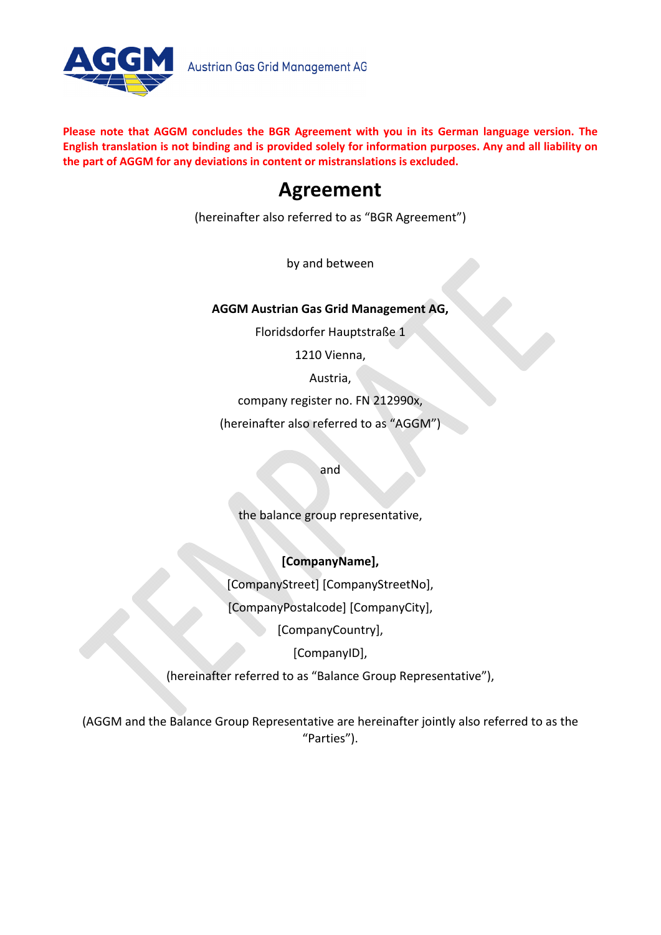

**Please note that AGGM concludes the BGR Agreement with you in its German language version. The** English translation is not binding and is provided solely for information purposes. Any and all liability on **the part of AGGM for any deviations in content or mistranslations is excluded.**

# **Agreement**

(hereinafter also referred to as "BGR Agreement")

by and between

## **AGGM Austrian Gas Grid Management AG,**

Floridsdorfer Hauptstraße 1

1210 Vienna,

Austria,

company register no. FN 212990x,

(hereinafter also referred to as "AGGM")

and

the balance group representative,

## **[CompanyName],**

[CompanyStreet] [CompanyStreetNo],

[CompanyPostalcode] [CompanyCity],

[CompanyCountry],

[CompanyID],

(hereinafter referred to as "Balance Group Representative"),

(AGGM and the Balance Group Representative are hereinafter jointly also referred to as the "Parties").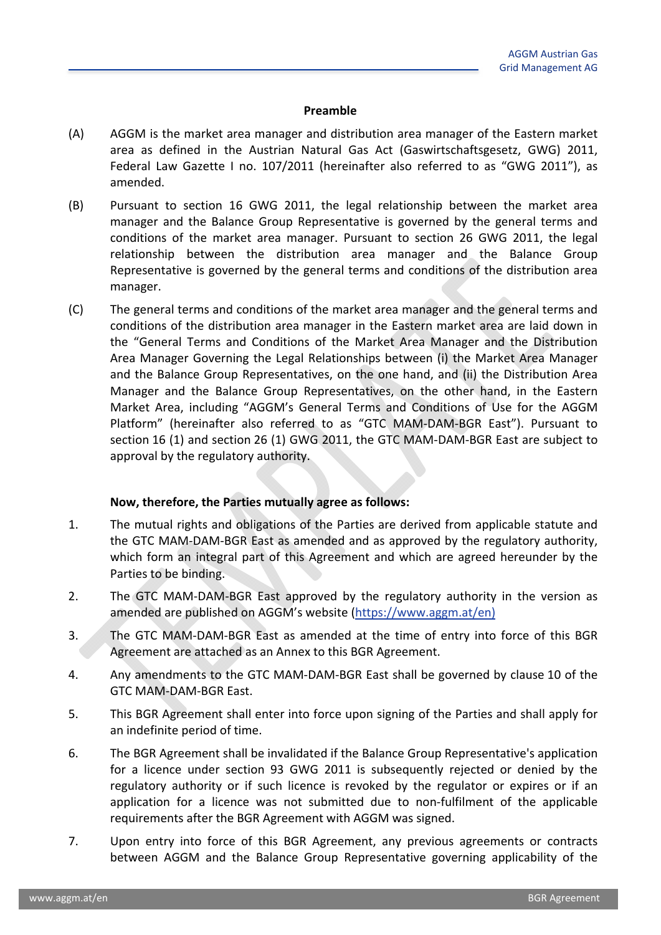#### **Preamble**

- (A) AGGM is the market area manager and distribution area manager of the Eastern market area as defined in the Austrian Natural Gas Act (Gaswirtschaftsgesetz, GWG) 2011, Federal Law Gazette I no. 107/2011 (hereinafter also referred to as "GWG 2011"), as amended.
- (B) Pursuant to section 16 GWG 2011, the legal relationship between the market area manager and the Balance Group Representative is governed by the general terms and conditions of the market area manager. Pursuant to section 26 GWG 2011, the legal relationship between the distribution area manager and the Balance Group Representative is governed by the general terms and conditions of the distribution area manager.
- (C) The general terms and conditions of the market area manager and the general terms and conditions of the distribution area manager in the Eastern market area are laid down in the "General Terms and Conditions of the Market Area Manager and the Distribution Area Manager Governing the Legal Relationships between (i) the Market Area Manager and the Balance Group Representatives, on the one hand, and (ii) the Distribution Area Manager and the Balance Group Representatives, on the other hand, in the Eastern Market Area, including "AGGM's General Terms and Conditions of Use for the AGGM Platform" (hereinafter also referred to as "GTC MAM‐DAM‐BGR East"). Pursuant to section 16 (1) and section 26 (1) GWG 2011, the GTC MAM‐DAM‐BGR East are subject to approval by the regulatory authority.

#### **Now, therefore, the Parties mutually agree as follows:**

- 1. The mutual rights and obligations of the Parties are derived from applicable statute and the GTC MAM‐DAM‐BGR East as amended and as approved by the regulatory authority, which form an integral part of this Agreement and which are agreed hereunder by the Parties to be binding.
- 2. The GTC MAM-DAM-BGR East approved by the regulatory authority in the version as amended are published on AGGM's website (https://www.aggm.at/en)
- 3. The GTC MAM‐DAM‐BGR East as amended at the time of entry into force of this BGR Agreement are attached as an Annex to this BGR Agreement.
- 4. Any amendments to the GTC MAM‐DAM‐BGR East shall be governed by clause 10 of the GTC MAM‐DAM‐BGR East.
- 5. This BGR Agreement shall enter into force upon signing of the Parties and shall apply for an indefinite period of time.
- 6. The BGR Agreement shall be invalidated if the Balance Group Representative's application for a licence under section 93 GWG 2011 is subsequently rejected or denied by the regulatory authority or if such licence is revoked by the regulator or expires or if an application for a licence was not submitted due to non-fulfilment of the applicable requirements after the BGR Agreement with AGGM was signed.
- 7. Upon entry into force of this BGR Agreement, any previous agreements or contracts between AGGM and the Balance Group Representative governing applicability of the